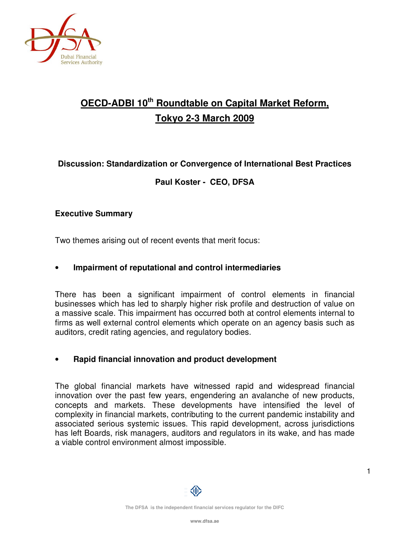

# **OECD-ADBI 10th Roundtable on Capital Market Reform, Tokyo 2-3 March 2009**

# **Discussion: Standardization or Convergence of International Best Practices**

# **Paul Koster - CEO, DFSA**

# **Executive Summary**

Two themes arising out of recent events that merit focus:

#### • **Impairment of reputational and control intermediaries**

There has been a significant impairment of control elements in financial businesses which has led to sharply higher risk profile and destruction of value on a massive scale. This impairment has occurred both at control elements internal to firms as well external control elements which operate on an agency basis such as auditors, credit rating agencies, and regulatory bodies.

# • **Rapid financial innovation and product development**

The global financial markets have witnessed rapid and widespread financial innovation over the past few years, engendering an avalanche of new products, concepts and markets. These developments have intensified the level of complexity in financial markets, contributing to the current pandemic instability and associated serious systemic issues. This rapid development, across jurisdictions has left Boards, risk managers, auditors and regulators in its wake, and has made a viable control environment almost impossible.

Œ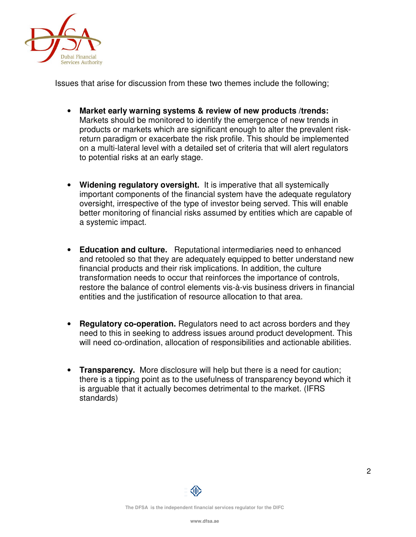

Issues that arise for discussion from these two themes include the following;

- **Market early warning systems & review of new products /trends:**  Markets should be monitored to identify the emergence of new trends in products or markets which are significant enough to alter the prevalent riskreturn paradigm or exacerbate the risk profile. This should be implemented on a multi-lateral level with a detailed set of criteria that will alert regulators to potential risks at an early stage.
- **Widening regulatory oversight.** It is imperative that all systemically important components of the financial system have the adequate regulatory oversight, irrespective of the type of investor being served. This will enable better monitoring of financial risks assumed by entities which are capable of a systemic impact.
- **Education and culture.** Reputational intermediaries need to enhanced and retooled so that they are adequately equipped to better understand new financial products and their risk implications. In addition, the culture transformation needs to occur that reinforces the importance of controls, restore the balance of control elements vis-à-vis business drivers in financial entities and the justification of resource allocation to that area.
- **Regulatory co-operation.** Regulators need to act across borders and they need to this in seeking to address issues around product development. This will need co-ordination, allocation of responsibilities and actionable abilities.
- **Transparency.** More disclosure will help but there is a need for caution; there is a tipping point as to the usefulness of transparency beyond which it is arguable that it actually becomes detrimental to the market. (IFRS standards)

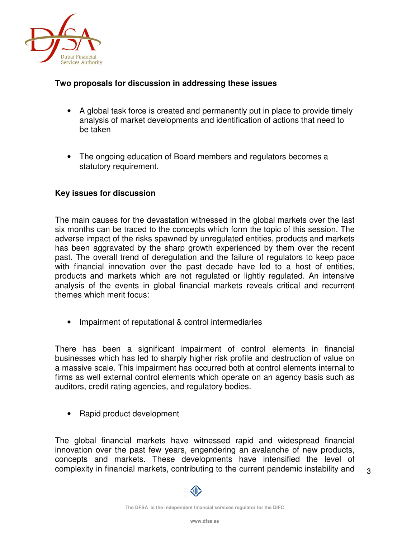

# **Two proposals for discussion in addressing these issues**

- A global task force is created and permanently put in place to provide timely analysis of market developments and identification of actions that need to be taken
- The ongoing education of Board members and regulators becomes a statutory requirement.

#### **Key issues for discussion**

The main causes for the devastation witnessed in the global markets over the last six months can be traced to the concepts which form the topic of this session. The adverse impact of the risks spawned by unregulated entities, products and markets has been aggravated by the sharp growth experienced by them over the recent past. The overall trend of deregulation and the failure of regulators to keep pace with financial innovation over the past decade have led to a host of entities, products and markets which are not regulated or lightly regulated. An intensive analysis of the events in global financial markets reveals critical and recurrent themes which merit focus:

• Impairment of reputational & control intermediaries

There has been a significant impairment of control elements in financial businesses which has led to sharply higher risk profile and destruction of value on a massive scale. This impairment has occurred both at control elements internal to firms as well external control elements which operate on an agency basis such as auditors, credit rating agencies, and regulatory bodies.

• Rapid product development

The global financial markets have witnessed rapid and widespread financial innovation over the past few years, engendering an avalanche of new products, concepts and markets. These developments have intensified the level of complexity in financial markets, contributing to the current pandemic instability and

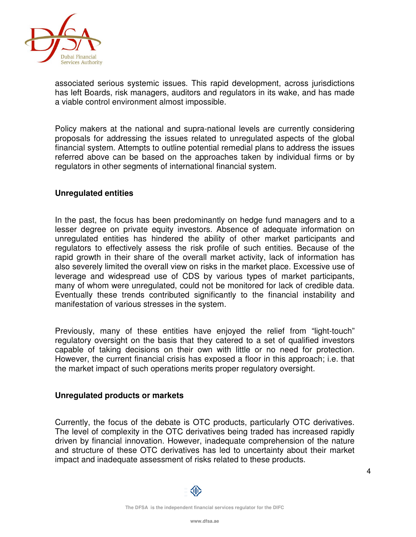

associated serious systemic issues. This rapid development, across jurisdictions has left Boards, risk managers, auditors and regulators in its wake, and has made a viable control environment almost impossible.

Policy makers at the national and supra-national levels are currently considering proposals for addressing the issues related to unregulated aspects of the global financial system. Attempts to outline potential remedial plans to address the issues referred above can be based on the approaches taken by individual firms or by regulators in other segments of international financial system.

#### **Unregulated entities**

In the past, the focus has been predominantly on hedge fund managers and to a lesser degree on private equity investors. Absence of adequate information on unregulated entities has hindered the ability of other market participants and regulators to effectively assess the risk profile of such entities. Because of the rapid growth in their share of the overall market activity, lack of information has also severely limited the overall view on risks in the market place. Excessive use of leverage and widespread use of CDS by various types of market participants, many of whom were unregulated, could not be monitored for lack of credible data. Eventually these trends contributed significantly to the financial instability and manifestation of various stresses in the system.

Previously, many of these entities have enjoyed the relief from "light-touch" regulatory oversight on the basis that they catered to a set of qualified investors capable of taking decisions on their own with little or no need for protection. However, the current financial crisis has exposed a floor in this approach; i.e. that the market impact of such operations merits proper regulatory oversight.

#### **Unregulated products or markets**

Currently, the focus of the debate is OTC products, particularly OTC derivatives. The level of complexity in the OTC derivatives being traded has increased rapidly driven by financial innovation. However, inadequate comprehension of the nature and structure of these OTC derivatives has led to uncertainty about their market impact and inadequate assessment of risks related to these products.

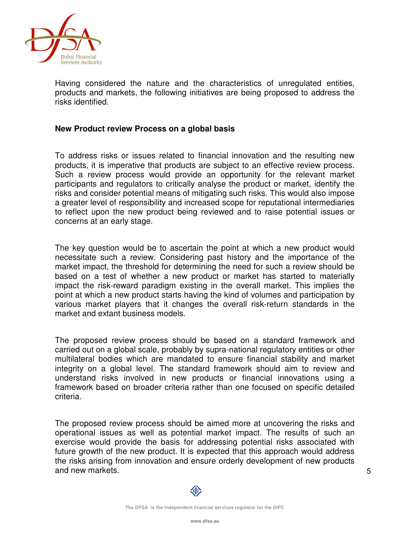

Having considered the nature and the characteristics of unregulated entities, products and markets, the following initiatives are being proposed to address the risks identified.

#### **New Product review Process on a global basis**

To address risks or issues related to financial innovation and the resulting new products, it is imperative that products are subject to an effective review process. Such a review process would provide an opportunity for the relevant market participants and regulators to critically analyse the product or market, identify the risks and consider potential means of mitigating such risks. This would also impose a greater level of responsibility and increased scope for reputational intermediaries to reflect upon the new product being reviewed and to raise potential issues or concerns at an early stage.

The key question would be to ascertain the point at which a new product would necessitate such a review. Considering past history and the importance of the market impact, the threshold for determining the need for such a review should be based on a test of whether a new product or market has started to materially impact the risk-reward paradigm existing in the overall market. This implies the point at which a new product starts having the kind of volumes and participation by various market players that it changes the overall risk-return standards in the market and extant business models.

The proposed review process should be based on a standard framework and carried out on a global scale, probably by supra-national regulatory entities or other multilateral bodies which are mandated to ensure financial stability and market integrity on a global level. The standard framework should aim to review and understand risks involved in new products or financial innovations using a framework based on broader criteria rather than one focused on specific detailed criteria.

The proposed review process should be aimed more at uncovering the risks and operational issues as well as potential market impact. The results of such an exercise would provide the basis for addressing potential risks associated with future growth of the new product. It is expected that this approach would address the risks arising from innovation and ensure orderly development of new products and new markets.

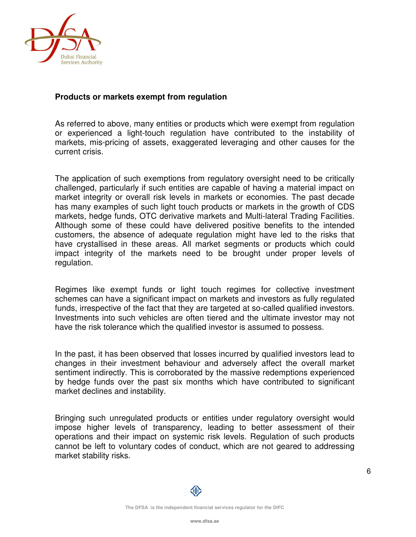

# **Products or markets exempt from regulation**

As referred to above, many entities or products which were exempt from regulation or experienced a light-touch regulation have contributed to the instability of markets, mis-pricing of assets, exaggerated leveraging and other causes for the current crisis.

The application of such exemptions from regulatory oversight need to be critically challenged, particularly if such entities are capable of having a material impact on market integrity or overall risk levels in markets or economies. The past decade has many examples of such light touch products or markets in the growth of CDS markets, hedge funds, OTC derivative markets and Multi-lateral Trading Facilities. Although some of these could have delivered positive benefits to the intended customers, the absence of adequate regulation might have led to the risks that have crystallised in these areas. All market segments or products which could impact integrity of the markets need to be brought under proper levels of regulation.

Regimes like exempt funds or light touch regimes for collective investment schemes can have a significant impact on markets and investors as fully regulated funds, irrespective of the fact that they are targeted at so-called qualified investors. Investments into such vehicles are often tiered and the ultimate investor may not have the risk tolerance which the qualified investor is assumed to possess.

In the past, it has been observed that losses incurred by qualified investors lead to changes in their investment behaviour and adversely affect the overall market sentiment indirectly. This is corroborated by the massive redemptions experienced by hedge funds over the past six months which have contributed to significant market declines and instability.

Bringing such unregulated products or entities under regulatory oversight would impose higher levels of transparency, leading to better assessment of their operations and their impact on systemic risk levels. Regulation of such products cannot be left to voluntary codes of conduct, which are not geared to addressing market stability risks.

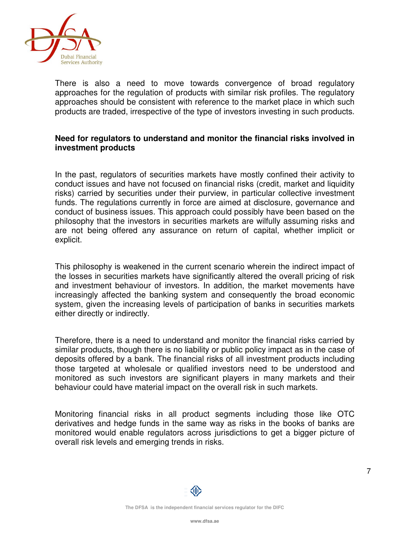

There is also a need to move towards convergence of broad regulatory approaches for the regulation of products with similar risk profiles. The regulatory approaches should be consistent with reference to the market place in which such products are traded, irrespective of the type of investors investing in such products.

# **Need for regulators to understand and monitor the financial risks involved in investment products**

In the past, regulators of securities markets have mostly confined their activity to conduct issues and have not focused on financial risks (credit, market and liquidity risks) carried by securities under their purview, in particular collective investment funds. The regulations currently in force are aimed at disclosure, governance and conduct of business issues. This approach could possibly have been based on the philosophy that the investors in securities markets are wilfully assuming risks and are not being offered any assurance on return of capital, whether implicit or explicit.

This philosophy is weakened in the current scenario wherein the indirect impact of the losses in securities markets have significantly altered the overall pricing of risk and investment behaviour of investors. In addition, the market movements have increasingly affected the banking system and consequently the broad economic system, given the increasing levels of participation of banks in securities markets either directly or indirectly.

Therefore, there is a need to understand and monitor the financial risks carried by similar products, though there is no liability or public policy impact as in the case of deposits offered by a bank. The financial risks of all investment products including those targeted at wholesale or qualified investors need to be understood and monitored as such investors are significant players in many markets and their behaviour could have material impact on the overall risk in such markets.

Monitoring financial risks in all product segments including those like OTC derivatives and hedge funds in the same way as risks in the books of banks are monitored would enable regulators across jurisdictions to get a bigger picture of overall risk levels and emerging trends in risks.